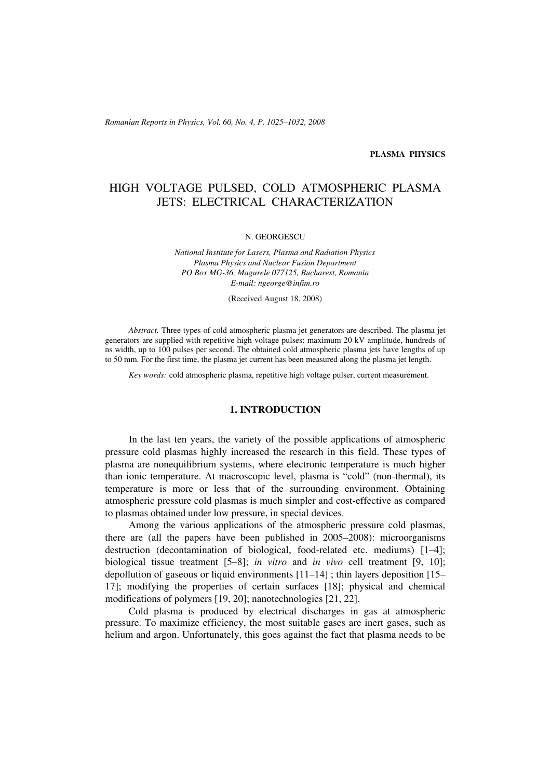*Romanian Reports in Physics, Vol. 60, No. 4, P. 1025–1032, 2008*

#### **PLASMA PHYSICS**

# HIGH VOLTAGE PULSED, COLD ATMOSPHERIC PLASMA JETS: ELECTRICAL CHARACTERIZATION

#### N. GEORGESCU

*National Institute for Lasers, Plasma and Radiation Physics Plasma Physics and Nuclear Fusion Department PO Box MG-36, Magurele 077125, Bucharest, Romania E-mail: ngeorge@infim.ro*

(Received August 18, 2008)

*Abstract.* Three types of cold atmospheric plasma jet generators are described. The plasma jet generators are supplied with repetitive high voltage pulses: maximum 20 kV amplitude, hundreds of ns width, up to 100 pulses per second. The obtained cold atmospheric plasma jets have lengths of up to 50 mm. For the first time, the plasma jet current has been measured along the plasma jet length.

*Key words:* cold atmospheric plasma, repetitive high voltage pulser, current measurement.

## **1. INTRODUCTION**

In the last ten years, the variety of the possible applications of atmospheric pressure cold plasmas highly increased the research in this field. These types of plasma are nonequilibrium systems, where electronic temperature is much higher than ionic temperature. At macroscopic level, plasma is "cold" (non-thermal), its temperature is more or less that of the surrounding environment. Obtaining atmospheric pressure cold plasmas is much simpler and cost-effective as compared to plasmas obtained under low pressure, in special devices.

Among the various applications of the atmospheric pressure cold plasmas, there are (all the papers have been published in 2005–2008): microorganisms destruction (decontamination of biological, food-related etc. mediums) [1–4]; biological tissue treatment [5–8]; *in vitro* and *in vivo* cell treatment [9, 10]; depollution of gaseous or liquid environments [11–14] ; thin layers deposition [15– 17]; modifying the properties of certain surfaces [18]; physical and chemical modifications of polymers [19, 20]; nanotechnologies [21, 22].

Cold plasma is produced by electrical discharges in gas at atmospheric pressure. To maximize efficiency, the most suitable gases are inert gases, such as helium and argon. Unfortunately, this goes against the fact that plasma needs to be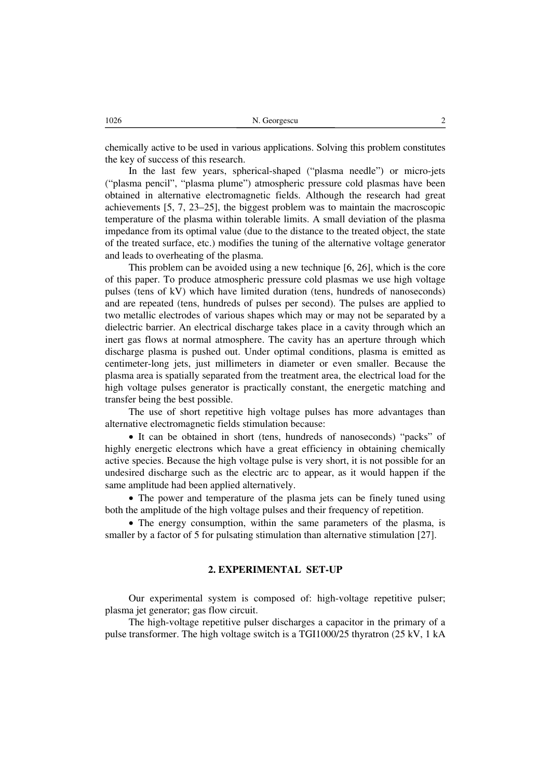chemically active to be used in various applications. Solving this problem constitutes the key of success of this research.

In the last few years, spherical-shaped ("plasma needle") or micro-jets ("plasma pencil", "plasma plume") atmospheric pressure cold plasmas have been obtained in alternative electromagnetic fields. Although the research had great achievements [5, 7, 23–25], the biggest problem was to maintain the macroscopic temperature of the plasma within tolerable limits. A small deviation of the plasma impedance from its optimal value (due to the distance to the treated object, the state of the treated surface, etc.) modifies the tuning of the alternative voltage generator and leads to overheating of the plasma.

This problem can be avoided using a new technique [6, 26], which is the core of this paper. To produce atmospheric pressure cold plasmas we use high voltage pulses (tens of kV) which have limited duration (tens, hundreds of nanoseconds) and are repeated (tens, hundreds of pulses per second). The pulses are applied to two metallic electrodes of various shapes which may or may not be separated by a dielectric barrier. An electrical discharge takes place in a cavity through which an inert gas flows at normal atmosphere. The cavity has an aperture through which discharge plasma is pushed out. Under optimal conditions, plasma is emitted as centimeter-long jets, just millimeters in diameter or even smaller. Because the plasma area is spatially separated from the treatment area, the electrical load for the high voltage pulses generator is practically constant, the energetic matching and transfer being the best possible.

The use of short repetitive high voltage pulses has more advantages than alternative electromagnetic fields stimulation because:

• It can be obtained in short (tens, hundreds of nanoseconds) "packs" of highly energetic electrons which have a great efficiency in obtaining chemically active species. Because the high voltage pulse is very short, it is not possible for an undesired discharge such as the electric arc to appear, as it would happen if the same amplitude had been applied alternatively.

• The power and temperature of the plasma jets can be finely tuned using both the amplitude of the high voltage pulses and their frequency of repetition.

• The energy consumption, within the same parameters of the plasma, is smaller by a factor of 5 for pulsating stimulation than alternative stimulation [27].

#### **2. EXPERIMENTAL SET-UP**

Our experimental system is composed of: high-voltage repetitive pulser; plasma jet generator; gas flow circuit.

The high-voltage repetitive pulser discharges a capacitor in the primary of a pulse transformer. The high voltage switch is a TGI1000/25 thyratron (25 kV, 1 kA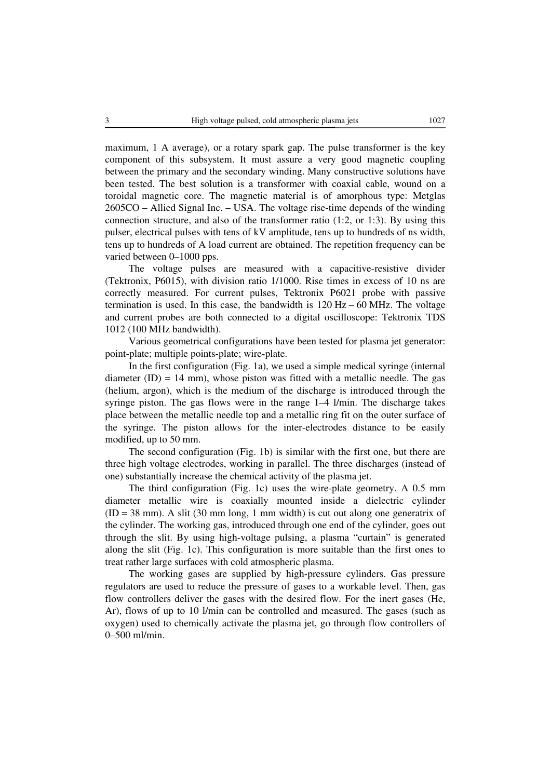maximum, 1 A average), or a rotary spark gap. The pulse transformer is the key component of this subsystem. It must assure a very good magnetic coupling between the primary and the secondary winding. Many constructive solutions have been tested. The best solution is a transformer with coaxial cable, wound on a toroidal magnetic core. The magnetic material is of amorphous type: Metglas 2605CO – Allied Signal Inc. – USA. The voltage rise-time depends of the winding connection structure, and also of the transformer ratio (1:2, or 1:3). By using this pulser, electrical pulses with tens of kV amplitude, tens up to hundreds of ns width, tens up to hundreds of A load current are obtained. The repetition frequency can be varied between 0–1000 pps.

The voltage pulses are measured with a capacitive-resistive divider (Tektronix, P6015), with division ratio 1/1000. Rise times in excess of 10 ns are correctly measured. For current pulses, Tektronix P6021 probe with passive termination is used. In this case, the bandwidth is 120 Hz – 60 MHz. The voltage and current probes are both connected to a digital oscilloscope: Tektronix TDS 1012 (100 MHz bandwidth).

Various geometrical configurations have been tested for plasma jet generator: point-plate; multiple points-plate; wire-plate.

In the first configuration (Fig. 1a), we used a simple medical syringe (internal diameter  $(ID) = 14$  mm), whose piston was fitted with a metallic needle. The gas (helium, argon), which is the medium of the discharge is introduced through the syringe piston. The gas flows were in the range 1–4 l/min. The discharge takes place between the metallic needle top and a metallic ring fit on the outer surface of the syringe. The piston allows for the inter-electrodes distance to be easily modified, up to 50 mm.

The second configuration (Fig. 1b) is similar with the first one, but there are three high voltage electrodes, working in parallel. The three discharges (instead of one) substantially increase the chemical activity of the plasma jet.

The third configuration (Fig. 1c) uses the wire-plate geometry. A 0.5 mm diameter metallic wire is coaxially mounted inside a dielectric cylinder  $(ID = 38$  mm). A slit  $(30$  mm long, 1 mm width) is cut out along one generatrix of the cylinder. The working gas, introduced through one end of the cylinder, goes out through the slit. By using high-voltage pulsing, a plasma "curtain" is generated along the slit (Fig. 1c). This configuration is more suitable than the first ones to treat rather large surfaces with cold atmospheric plasma.

The working gases are supplied by high-pressure cylinders. Gas pressure regulators are used to reduce the pressure of gases to a workable level. Then, gas flow controllers deliver the gases with the desired flow. For the inert gases (He, Ar), flows of up to 10 l/min can be controlled and measured. The gases (such as oxygen) used to chemically activate the plasma jet, go through flow controllers of 0–500 ml/min.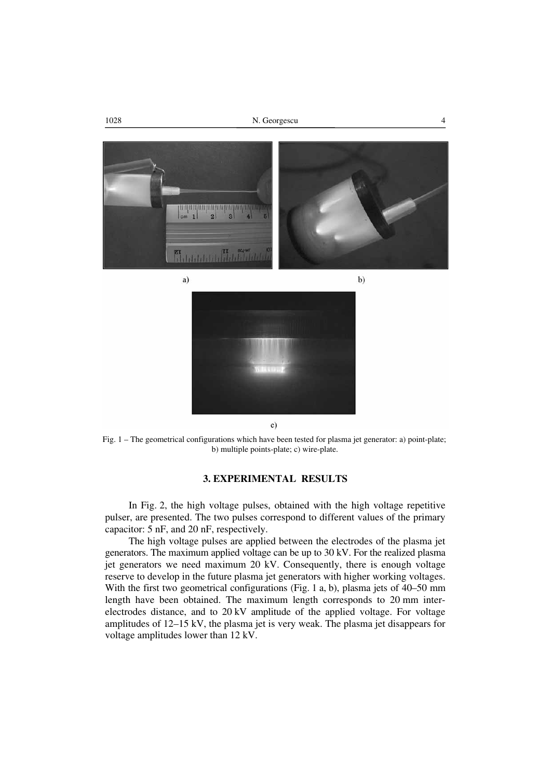



 $c)$ 

Fig. 1 – The geometrical configurations which have been tested for plasma jet generator: a) point-plate; b) multiple points-plate; c) wire-plate.

# **3. EXPERIMENTAL RESULTS**

In Fig. 2, the high voltage pulses, obtained with the high voltage repetitive pulser, are presented. The two pulses correspond to different values of the primary capacitor: 5 nF, and 20 nF, respectively.

The high voltage pulses are applied between the electrodes of the plasma jet generators. The maximum applied voltage can be up to 30 kV. For the realized plasma jet generators we need maximum 20 kV. Consequently, there is enough voltage reserve to develop in the future plasma jet generators with higher working voltages. With the first two geometrical configurations (Fig. 1 a, b), plasma jets of 40–50 mm length have been obtained. The maximum length corresponds to 20 mm interelectrodes distance, and to 20 kV amplitude of the applied voltage. For voltage amplitudes of 12–15 kV, the plasma jet is very weak. The plasma jet disappears for voltage amplitudes lower than 12 kV.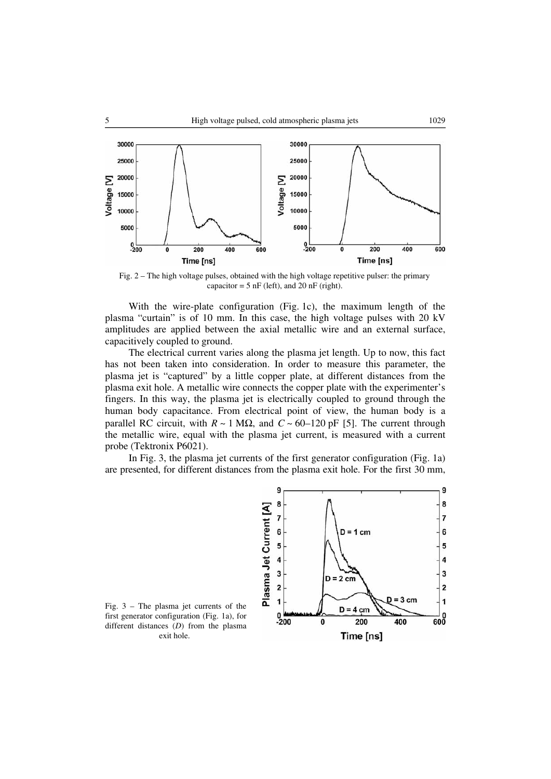

Fig. 2 – The high voltage pulses, obtained with the high voltage repetitive pulser: the primary capacitor =  $5$  nF (left), and  $20$  nF (right).

With the wire-plate configuration (Fig. 1c), the maximum length of the plasma "curtain" is of 10 mm. In this case, the high voltage pulses with 20 kV amplitudes are applied between the axial metallic wire and an external surface, capacitively coupled to ground.

The electrical current varies along the plasma jet length. Up to now, this fact has not been taken into consideration. In order to measure this parameter, the plasma jet is "captured" by a little copper plate, at different distances from the plasma exit hole. A metallic wire connects the copper plate with the experimenter's fingers. In this way, the plasma jet is electrically coupled to ground through the human body capacitance. From electrical point of view, the human body is a parallel RC circuit, with  $R \sim 1$  M $\Omega$ , and  $C \sim 60-120$  pF [5]. The current through the metallic wire, equal with the plasma jet current, is measured with a current probe (Tektronix P6021).

In Fig. 3, the plasma jet currents of the first generator configuration (Fig. 1a) are presented, for different distances from the plasma exit hole. For the first 30 mm,



Fig. 3 – The plasma jet currents of the first generator configuration (Fig. 1a), for different distances (*D*) from the plasma exit hole.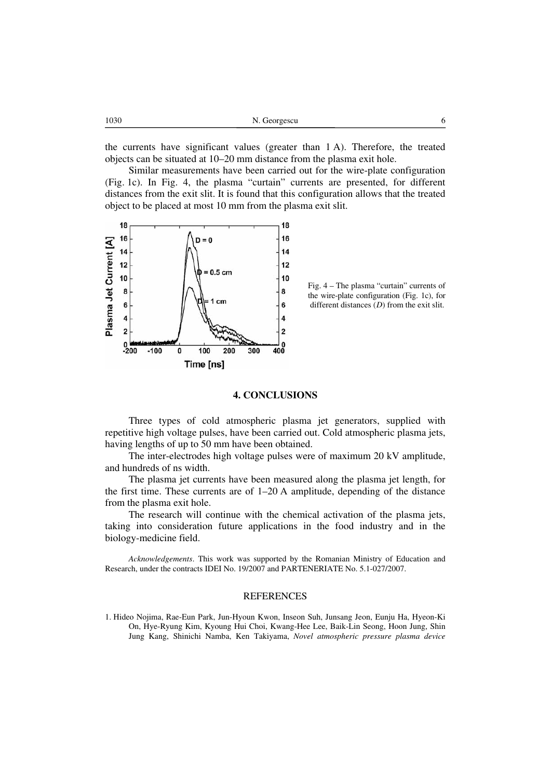| 1030 | N. Georgescu |  |
|------|--------------|--|
|      |              |  |

the currents have significant values (greater than 1 A). Therefore, the treated objects can be situated at 10–20 mm distance from the plasma exit hole.

Similar measurements have been carried out for the wire-plate configuration (Fig. 1c). In Fig. 4, the plasma "curtain" currents are presented, for different distances from the exit slit. It is found that this configuration allows that the treated object to be placed at most 10 mm from the plasma exit slit.



Fig. 4 – The plasma "curtain" currents of the wire-plate configuration (Fig. 1c), for different distances (*D*) from the exit slit.

## **4. CONCLUSIONS**

Three types of cold atmospheric plasma jet generators, supplied with repetitive high voltage pulses, have been carried out. Cold atmospheric plasma jets, having lengths of up to 50 mm have been obtained.

The inter-electrodes high voltage pulses were of maximum 20 kV amplitude, and hundreds of ns width.

The plasma jet currents have been measured along the plasma jet length, for the first time. These currents are of 1–20 A amplitude, depending of the distance from the plasma exit hole.

The research will continue with the chemical activation of the plasma jets, taking into consideration future applications in the food industry and in the biology-medicine field.

*Acknowledgements*. This work was supported by the Romanian Ministry of Education and Research, under the contracts IDEI No. 19/2007 and PARTENERIATE No. 5.1-027/2007.

#### **REFERENCES**

1. Hideo Nojima, Rae-Eun Park, Jun-Hyoun Kwon, Inseon Suh, Junsang Jeon, Eunju Ha, Hyeon-Ki On, Hye-Ryung Kim, Kyoung Hui Choi, Kwang-Hee Lee, Baik-Lin Seong, Hoon Jung, Shin Jung Kang, Shinichi Namba, Ken Takiyama, *Novel atmospheric pressure plasma device*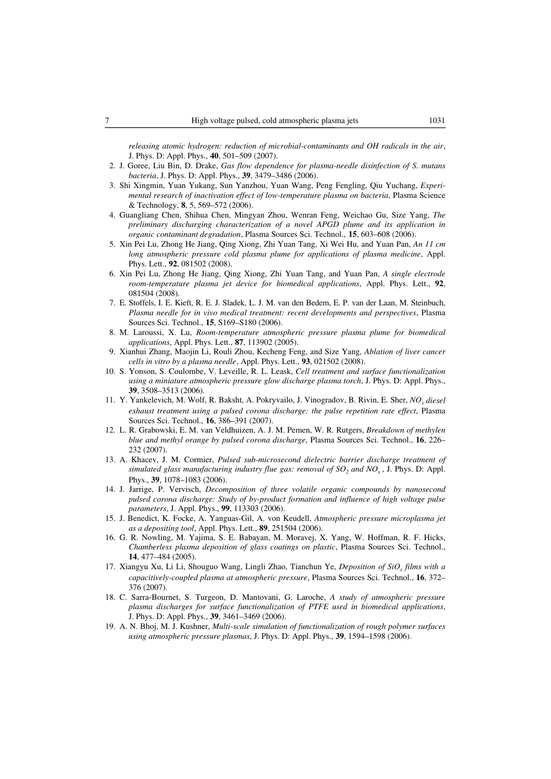*releasing atomic hydrogen: reduction of microbial-contaminants and OH radicals in the air*, J. Phys. D: Appl. Phys., **40**, 501–509 (2007).

- 2. J. Goree, Liu Bin, D. Drake, *Gas flow dependence for plasma-needle disinfection of S. mutans bacteria*, J. Phys. D: Appl. Phys., **39**, 3479–3486 (2006).
- 3. Shi Xingmin, Yuan Yukang, Sun Yanzhou, Yuan Wang, Peng Fengling, Qiu Yuchang, *Experimental research of inactivation effect of low-temperature plasma on bacteria*, Plasma Science & Technology, **8**, 5, 569–572 (2006).
- 4. Guangliang Chen, Shihua Chen, Mingyan Zhou, Wenran Feng, Weichao Gu, Size Yang, *The preliminary discharging characterization of a novel APGD plume and its application in organic contaminant degradation*, Plasma Sources Sci. Technol., **15**, 603–608 (2006).
- 5. Xin Pei Lu, Zhong He Jiang, Qing Xiong, Zhi Yuan Tang, Xi Wei Hu, and Yuan Pan, *An 11 cm long atmospheric pressure cold plasma plume for applications of plasma medicine*, Appl. Phys. Lett., **92**, 081502 (2008).
- 6. Xin Pei Lu, Zhong He Jiang, Qing Xiong, Zhi Yuan Tang, and Yuan Pan, *A single electrode room-temperature plasma jet device for biomedical applications*, Appl. Phys. Lett., **92**, 081504 (2008).
- 7. E. Stoffels, I. E. Kieft, R. E. J. Sladek, L. J. M. van den Bedem, E. P. van der Laan, M. Steinbuch, *Plasma needle for in vivo medical treatment: recent developments and perspectives*, Plasma Sources Sci. Technol., **15**, S169–S180 (2006).
- 8. M. Laroussi, X. Lu, *Room-temperature atmospheric pressure plasma plume for biomedical applications*, Appl. Phys. Lett., **87**, 113902 (2005).
- 9. Xianhui Zhang, Maojin Li, Rouli Zhou, Kecheng Feng, and Size Yang, *Ablation of liver cancer cells in vitro by a plasma needle*, Appl. Phys. Lett., **93**, 021502 (2008).
- 10. S. Yonson, S. Coulombe, V. Leveille, R. L. Leask, *Cell treatment and surface functionalization using a miniature atmospheric pressure glow discharge plasma torch*, J. Phys. D: Appl. Phys., **39**, 3508–3513 (2006).
- 11. Y. Yankelevich, M. Wolf, R. Baksht, A. Pokryvailo, J. Vinogradov, B. Rivin, E. Sher, *NOx diesel exhaust treatment using a pulsed corona discharge: the pulse repetition rate effect*, Plasma Sources Sci. Technol., **16**, 386–391 (2007).
- 12. L. R. Grabowski, E. M. van Veldhuizen, A. J. M. Pemen, W. R. Rutgers, *Breakdown of methylen blue and methyl orange by pulsed corona discharge*, Plasma Sources Sci. Technol., **16**, 226– 232 (2007).
- 13. A. Khacev, J. M. Cormier, *Pulsed sub-microsecond dielectric barrier discharge treatment of simulated glass manufacturing industry flue gas: removal of*  $SO<sub>2</sub>$  *and*  $NO<sub>x</sub>$ *, J. Phys. D: Appl.* Phys., **39**, 1078–1083 (2006).
- 14. J. Jarrige, P. Vervisch, *Decomposition of three volatile organic compounds by nanosecond pulsed corona discharge: Study of by-product formation and influence of high voltage pulse parameters*, J. Appl. Phys., **99**, 113303 (2006).
- 15. J. Benedict, K. Focke, A. Yanguas-Gil, A. von Keudell, *Atmospheric pressure microplasma jet as a depositing tool*, Appl. Phys. Lett., **89**, 251504 (2006).
- 16. G. R. Nowling, M. Yajima, S. E. Babayan, M. Moravej, X. Yang, W. Hoffman, R. F. Hicks, *Chamberless plasma deposition of glass coatings on plastic*, Plasma Sources Sci. Technol., **14**, 477–484 (2005).
- 17. Xiangyu Xu, Li Li, Shouguo Wang, Lingli Zhao, Tianchun Ye, *Deposition of SiOx films with a capacitively-coupled plasma at atmospheric pressure*, Plasma Sources Sci. Technol., **16**, 372– 376 (2007).
- 18. C. Sarra-Bournet, S. Turgeon, D. Mantovani, G. Laroche, *A study of atmospheric pressure plasma discharges for surface functionalization of PTFE used in biomedical applications*, J. Phys. D: Appl. Phys., **39**, 3461–3469 (2006).
- 19. A. N. Bhoj, M. J. Kushner, *Multi-scale simulation of functionalization of rough polymer surfaces using atmospheric pressure plasmas*, J. Phys. D: Appl. Phys., **39**, 1594–1598 (2006).